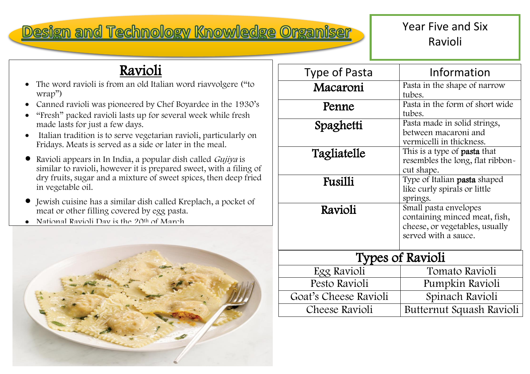## Design and Technology Knowledge Organiser

## Year Five and Six Ravioli

## Ravioli

- The word ravioli is from an old Italian word riavvolgere ("to wrap")
- Canned ravioli was pioneered by Chef Boyardee in the 1930's
- "Fresh" packed ravioli lasts up for several week while fresh made lasts for just a few days.
- Italian tradition is to serve vegetarian ravioli, particularly on Fridays. Meats is served as a side or later in the meal.
- Ravioli appears in In India, a popular dish called *Gujiya* is similar to ravioli, however it is prepared sweet, with a filing of dry fruits, sugar and a mixture of sweet spices, then deep fried in vegetable oil.
- Jewish cuisine has a similar dish called Kreplach, a pocket of meat or other filling covered by egg pasta.
- National Ravioli Day is the 20<sup>th</sup> of March



| <b>Type of Pasta</b>    | Information                                                                                                      |
|-------------------------|------------------------------------------------------------------------------------------------------------------|
| Macaroni                | Pasta in the shape of narrow<br>tubes.                                                                           |
| Penne                   | Pasta in the form of short wide<br>tubes.                                                                        |
| Spaghetti               | Pasta made in solid strings,<br>between macaroni and<br>vermicelli in thickness.                                 |
| Tagliatelle             | This is a type of <b>pasta</b> that<br>resembles the long, flat ribbon-<br>cut shape.                            |
| <b>Fusilli</b>          | Type of Italian pasta shaped<br>like curly spirals or little<br>springs.                                         |
| Ravioli                 | Small pasta envelopes<br>containing minced meat, fish,<br>cheese, or vegetables, usually<br>served with a sauce. |
| <b>Types of Ravioli</b> |                                                                                                                  |
| Egg Ravioli             | Tomato Ravioli                                                                                                   |
| Pesto Ravioli           | Pumpkin Ravioli                                                                                                  |
| Goat's Cheese Ravioli   | Spinach Ravioli                                                                                                  |
| <b>Cheese Ravioli</b>   | Butternut Squash Ravioli                                                                                         |